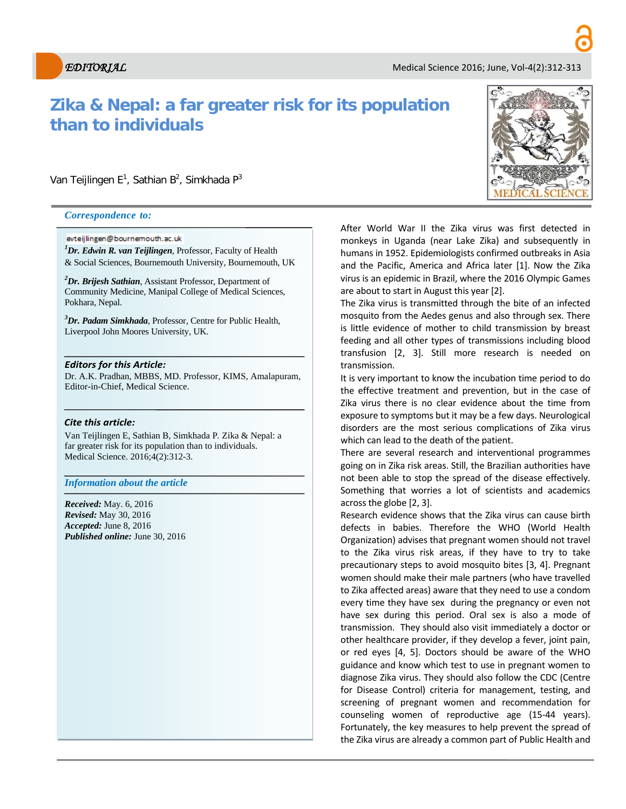# **Zika & Nepal: a far greater risk for its population than to individuals**

Van Teijlingen E<sup>1</sup>, Sathian B<sup>2</sup>, Simkhada P<sup>3</sup>

#### *Correspondence to:*

#### evteijlingen@bournemouth.ac.uk

*1 Dr. Edwin R. van Teijlingen*, Professor, Faculty of Health & Social Sciences, Bournemouth University, Bournemouth, UK

*2 Dr. Brijesh Sathian*, Assistant Professor, Department of Community Medicine, Manipal College of Medical Sciences, Pokhara, Nepal.

*3 Dr. Padam Simkhada*, Professor, Centre for Public Health, Liverpool John Moores University, UK.

#### *Editors for this Article:*

Dr. A.K. Pradhan, MBBS, MD. Professor, KIMS, Amalapuram, Editor-in-Chief, Medical Science.

#### *Cite this article:*

Van Teijlingen E, Sathian B, Simkhada P*.* Zika & Nepal: a far greater risk for its population than to individuals. Medical Science. 2016;4(2):312-3.

### *Information about the article*

*Received:* May. 6, 2016 *Revised:* May 30, 2016 *Accepted:* June 8, 2016 *Published online:* June 30, 2016



After World War II the Zika virus was first detected in monkeys in Uganda (near Lake Zika) and subsequently in humans in 1952. Epidemiologists confirmed outbreaks in Asia and the Pacific, America and Africa later [1]. Now the Zika virus is an epidemic in Brazil, where the 2016 Olympic Games are about to start in August this year [2].

The Zika virus is transmitted through the bite of an infected mosquito from the Aedes genus and also through sex. There is little evidence of mother to child transmission by breast feeding and all other types of transmissions including blood transfusion [2, 3]. Still more research is needed on transmission.

It is very important to know the incubation time period to do the effective treatment and prevention, but in the case of Zika virus there is no clear evidence about the time from exposure to symptoms but it may be a few days. Neurological disorders are the most serious complications of Zika virus which can lead to the death of the patient.

There are several research and interventional programmes going on in Zika risk areas. Still, the Brazilian authorities have not been able to stop the spread of the disease effectively. Something that worries a lot of scientists and academics across the globe [2, 3].

Research evidence shows that the Zika virus can cause birth defects in babies. Therefore the WHO (World Health Organization) advises that pregnant women should not travel to the Zika virus risk areas, if they have to try to take precautionary steps to avoid mosquito bites [3, 4]. Pregnant women should make their male partners (who have travelled to Zika affected areas) aware that they need to use a condom every time they have sex during the pregnancy or even not have sex during this period. Oral sex is also a mode of transmission. They should also visit immediately a doctor or other healthcare provider, if they develop a fever, joint pain, or red eyes [4, 5]. Doctors should be aware of the WHO guidance and know which test to use in pregnant women to diagnose Zika virus. They should also follow the CDC (Centre for Disease Control) criteria for management, testing, and screening of pregnant women and recommendation for counseling women of reproductive age (15-44 years). Fortunately, the key measures to help prevent the spread of the Zika virus are already a common part of Public Health and